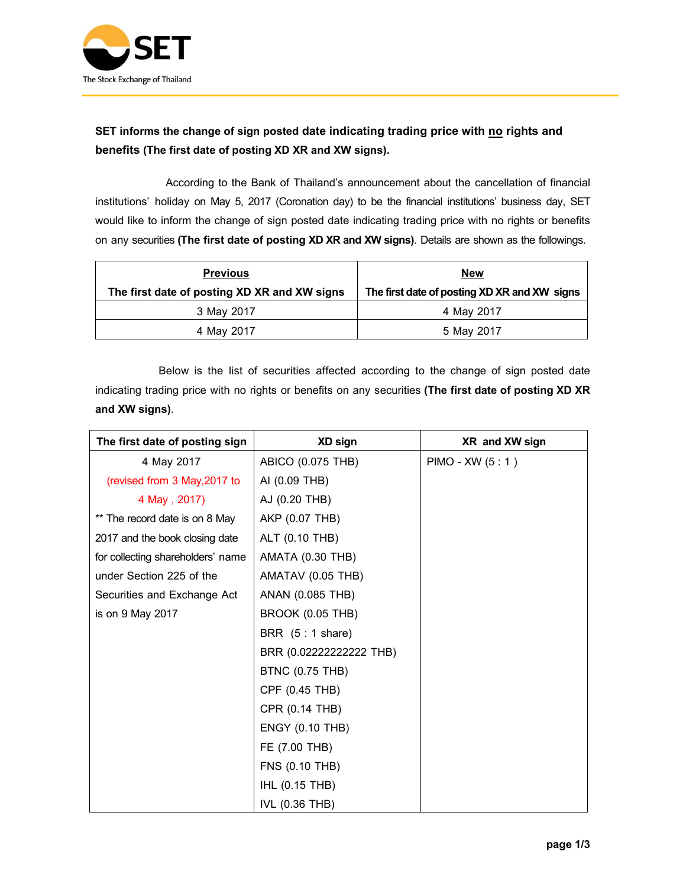

## SET informs the change of sign posted date indicating trading price with no rights and **benefits(The first date of posting XD XR and XW signs).**

 According to the Bank of Thailand's announcement about the cancellation of financial institutions' holiday on May 5, 2017 (Coronation day) to be the financial institutions' business day, SET would like to inform the change of sign posted date indicating trading price with no rights or benefits on any securities**(The first date of posting XD XR and XW signs)**. Details are shown as the followings.

| <b>Previous</b>                              | <b>New</b>                                   |
|----------------------------------------------|----------------------------------------------|
| The first date of posting XD XR and XW signs | The first date of posting XD XR and XW signs |
| 3 May 2017                                   | 4 May 2017                                   |
| 4 May 2017                                   | 5 May 2017                                   |

Below is the list of securities affected according to the change of sign posted date indicating trading price with no rights or benefits on any securities **(The first date of posting XD XR and XW signs)**.

| The first date of posting sign    | XD sign                   | XR and XW sign    |
|-----------------------------------|---------------------------|-------------------|
| 4 May 2017                        | ABICO (0.075 THB)         | PIMO - XW (5 : 1) |
| (revised from 3 May, 2017 to      | AI (0.09 THB)             |                   |
| 4 May, 2017)                      | AJ (0.20 THB)             |                   |
| ** The record date is on 8 May    | AKP (0.07 THB)            |                   |
| 2017 and the book closing date    | ALT (0.10 THB)            |                   |
| for collecting shareholders' name | <b>AMATA (0.30 THB)</b>   |                   |
| under Section 225 of the          | AMATAV (0.05 THB)         |                   |
| Securities and Exchange Act       | ANAN (0.085 THB)          |                   |
| is on 9 May 2017                  | <b>BROOK (0.05 THB)</b>   |                   |
|                                   | BRR $(5:1 \text{ share})$ |                   |
|                                   | BRR (0.022222222222 THB)  |                   |
|                                   | <b>BTNC (0.75 THB)</b>    |                   |
|                                   | CPF (0.45 THB)            |                   |
|                                   | CPR (0.14 THB)            |                   |
|                                   | <b>ENGY (0.10 THB)</b>    |                   |
|                                   | FE (7.00 THB)             |                   |
|                                   | <b>FNS (0.10 THB)</b>     |                   |
|                                   | IHL (0.15 THB)            |                   |
|                                   | IVL (0.36 THB)            |                   |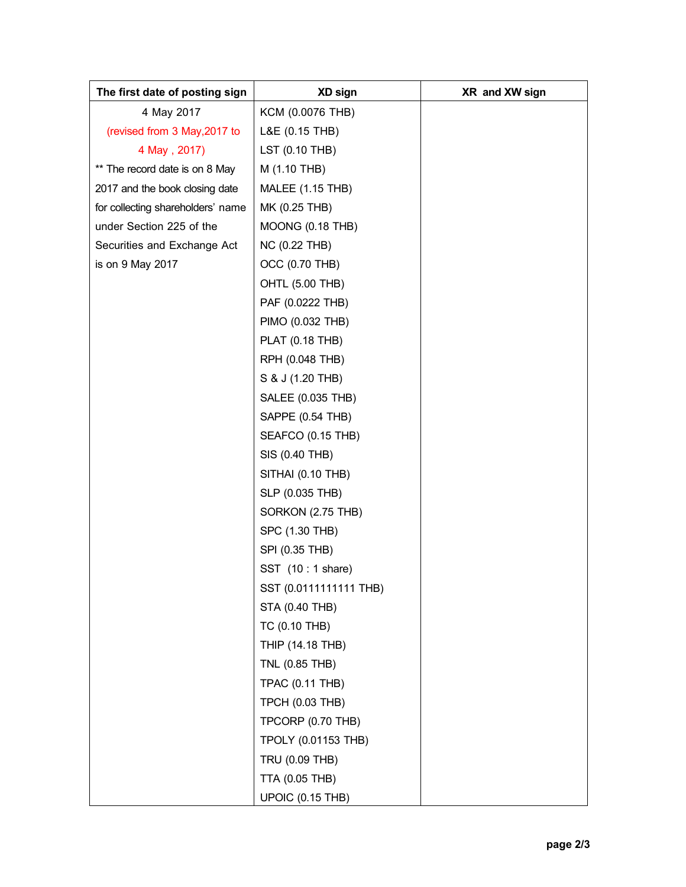| The first date of posting sign    | XD sign                    | XR and XW sign |
|-----------------------------------|----------------------------|----------------|
| 4 May 2017                        | KCM (0.0076 THB)           |                |
| (revised from 3 May, 2017 to      | L&E (0.15 THB)             |                |
| 4 May, 2017)                      | LST (0.10 THB)             |                |
| ** The record date is on 8 May    | M (1.10 THB)               |                |
| 2017 and the book closing date    | <b>MALEE (1.15 THB)</b>    |                |
| for collecting shareholders' name | MK (0.25 THB)              |                |
| under Section 225 of the          | MOONG (0.18 THB)           |                |
| Securities and Exchange Act       | <b>NC (0.22 THB)</b>       |                |
| is on 9 May 2017                  | OCC (0.70 THB)             |                |
|                                   | <b>OHTL (5.00 THB)</b>     |                |
|                                   | PAF (0.0222 THB)           |                |
|                                   | PIMO (0.032 THB)           |                |
|                                   | <b>PLAT (0.18 THB)</b>     |                |
|                                   | RPH (0.048 THB)            |                |
|                                   | S & J (1.20 THB)           |                |
|                                   | SALEE (0.035 THB)          |                |
|                                   | SAPPE (0.54 THB)           |                |
|                                   | SEAFCO (0.15 THB)          |                |
|                                   | SIS (0.40 THB)             |                |
|                                   | SITHAI (0.10 THB)          |                |
|                                   | SLP (0.035 THB)            |                |
|                                   | SORKON (2.75 THB)          |                |
|                                   | SPC (1.30 THB)             |                |
|                                   | SPI (0.35 THB)             |                |
|                                   | SST (10 : 1 share)         |                |
|                                   | SST (0.0111111111 THB)     |                |
|                                   | STA (0.40 THB)             |                |
|                                   | TC (0.10 THB)              |                |
|                                   | THIP (14.18 THB)           |                |
|                                   | TNL (0.85 THB)             |                |
|                                   | <b>TPAC (0.11 THB)</b>     |                |
|                                   | <b>TPCH (0.03 THB)</b>     |                |
|                                   | TPCORP (0.70 THB)          |                |
|                                   | <b>TPOLY (0.01153 THB)</b> |                |
|                                   | TRU (0.09 THB)             |                |
|                                   | <b>TTA (0.05 THB)</b>      |                |
|                                   | <b>UPOIC (0.15 THB)</b>    |                |